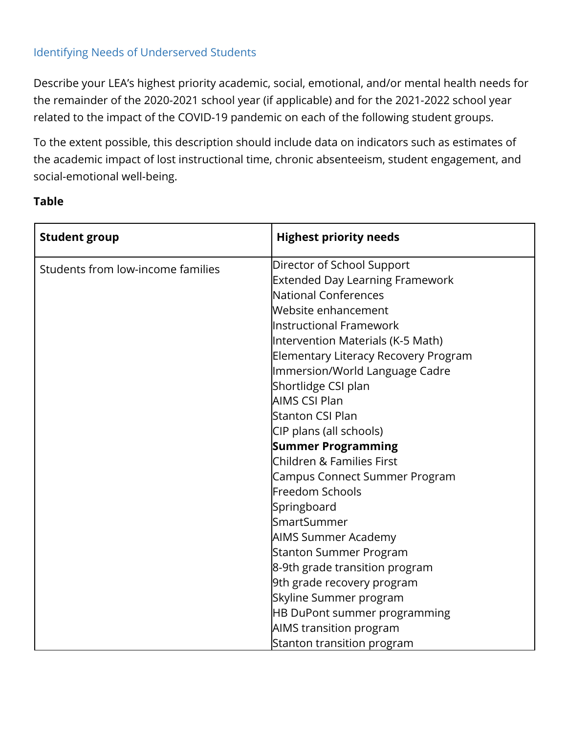## Identifying Needs of Underserved Students

Describe your LEA's highest priority academic, social, emotional, and/or mental health needs for the remainder of the 2020-2021 school year (if applicable) and for the 2021-2022 school year related to the impact of the COVID-19 pandemic on each of the following student groups.

To the extent possible, this description should include data on indicators such as estimates of the academic impact of lost instructional time, chronic absenteeism, student engagement, and social-emotional well-being.

## **Table**

| <b>Student group</b>              | <b>Highest priority needs</b>          |
|-----------------------------------|----------------------------------------|
| Students from low-income families | Director of School Support             |
|                                   | <b>Extended Day Learning Framework</b> |
|                                   | National Conferences                   |
|                                   | Website enhancement                    |
|                                   | <b>Instructional Framework</b>         |
|                                   | Intervention Materials (K-5 Math)      |
|                                   | Elementary Literacy Recovery Program   |
|                                   | Immersion/World Language Cadre         |
|                                   | Shortlidge CSI plan                    |
|                                   | AIMS CSI Plan                          |
|                                   | <b>Stanton CSI Plan</b>                |
|                                   | CIP plans (all schools)                |
|                                   | <b>Summer Programming</b>              |
|                                   | <b>Children &amp; Families First</b>   |
|                                   | Campus Connect Summer Program          |
|                                   | Freedom Schools                        |
|                                   | Springboard                            |
|                                   | SmartSummer                            |
|                                   | <b>AIMS Summer Academy</b>             |
|                                   | <b>Stanton Summer Program</b>          |
|                                   | 8-9th grade transition program         |
|                                   | 9th grade recovery program             |
|                                   | Skyline Summer program                 |
|                                   | HB DuPont summer programming           |
|                                   | AIMS transition program                |
|                                   | Stanton transition program             |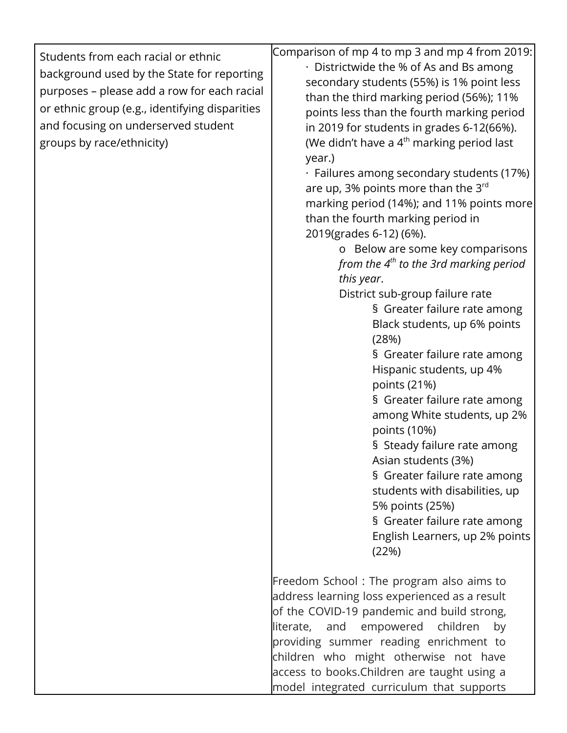| Students from each racial or ethnic<br>background used by the State for reporting<br>purposes - please add a row for each racial<br>or ethnic group (e.g., identifying disparities<br>and focusing on underserved student<br>groups by race/ethnicity) | Comparison of mp 4 to mp 3 and mp 4 from 2019:<br>· Districtwide the % of As and Bs among<br>secondary students (55%) is 1% point less<br>than the third marking period (56%); 11%<br>points less than the fourth marking period<br>in 2019 for students in grades 6-12(66%).<br>(We didn't have a 4 <sup>th</sup> marking period last<br>year.)<br>· Failures among secondary students (17%)<br>are up, 3% points more than the $3^{rd}$<br>marking period (14%); and 11% points more<br>than the fourth marking period in<br>2019(grades 6-12) (6%).<br>o Below are some key comparisons<br>from the $4th$ to the 3rd marking period<br>this year.<br>District sub-group failure rate<br>§ Greater failure rate among<br>Black students, up 6% points<br>(28%)<br>§ Greater failure rate among<br>Hispanic students, up 4%<br>points (21%)<br>§ Greater failure rate among<br>among White students, up 2%<br>points (10%)<br>§ Steady failure rate among<br>Asian students (3%)<br>§ Greater failure rate among<br>students with disabilities, up<br>5% points (25%)<br>§ Greater failure rate among |
|--------------------------------------------------------------------------------------------------------------------------------------------------------------------------------------------------------------------------------------------------------|--------------------------------------------------------------------------------------------------------------------------------------------------------------------------------------------------------------------------------------------------------------------------------------------------------------------------------------------------------------------------------------------------------------------------------------------------------------------------------------------------------------------------------------------------------------------------------------------------------------------------------------------------------------------------------------------------------------------------------------------------------------------------------------------------------------------------------------------------------------------------------------------------------------------------------------------------------------------------------------------------------------------------------------------------------------------------------------------------------|
|                                                                                                                                                                                                                                                        | English Learners, up 2% points<br>(22%)                                                                                                                                                                                                                                                                                                                                                                                                                                                                                                                                                                                                                                                                                                                                                                                                                                                                                                                                                                                                                                                                |
|                                                                                                                                                                                                                                                        | Freedom School: The program also aims to<br>address learning loss experienced as a result<br>of the COVID-19 pandemic and build strong,<br>and empowered children<br>literate,<br>by<br>providing summer reading enrichment to<br>children who might otherwise not have<br>access to books. Children are taught using a<br>model integrated curriculum that supports                                                                                                                                                                                                                                                                                                                                                                                                                                                                                                                                                                                                                                                                                                                                   |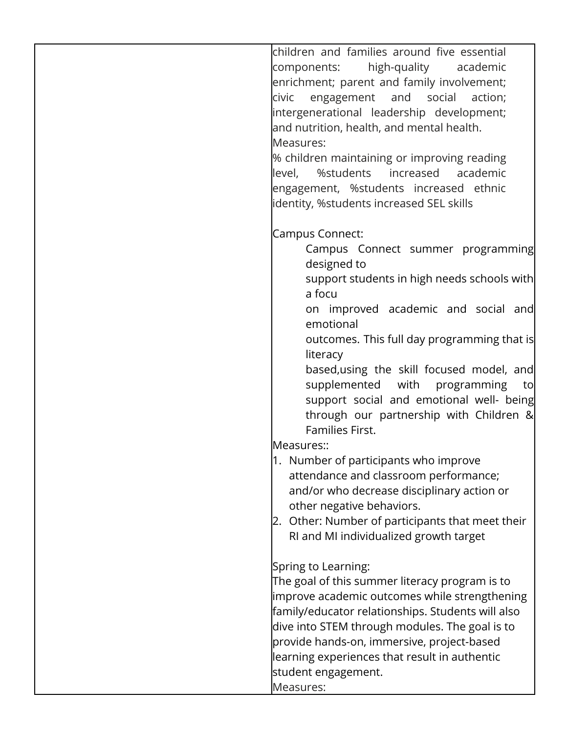children and families around five essential components: high-quality academic enrichment; parent and family involvement; civic engagement and social action; intergenerational leadership development; and nutrition, health, and mental health. Measures:

% children maintaining or improving reading level, %students increased academic engagement, %students increased ethnic identity, %students increased SEL skills

Campus Connect:

- Campus Connect summer programming designed to
- support students in high needs schools with a focu

on improved academic and social and emotional

outcomes. This full day programming that is literacy

based,using the skill focused model, and supplemented with programming to support social and emotional well- being through our partnership with Children & Families First.

Measures::

- 1. Number of participants who improve attendance and classroom performance; and/or who decrease disciplinary action or other negative behaviors.
- 2. Other: Number of participants that meet their RI and MI individualized growth target

Spring to Learning:

The goal of this summer literacy program is to improve academic outcomes while strengthening family/educator relationships. Students will also dive into STEM through modules. The goal is to provide hands-on, immersive, project-based learning experiences that result in authentic student engagement.

Measures: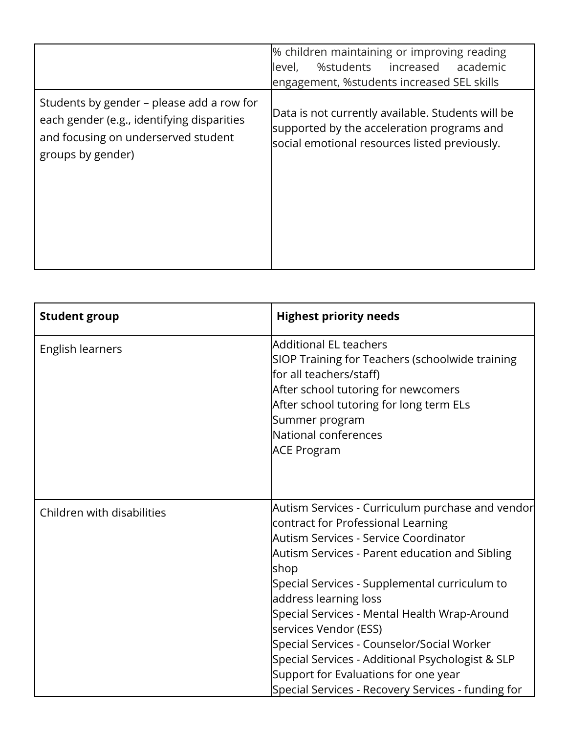|                                                                                                                                                     | % children maintaining or improving reading<br>%students increased<br>academic<br>level,<br>engagement, %students increased SEL skills           |
|-----------------------------------------------------------------------------------------------------------------------------------------------------|--------------------------------------------------------------------------------------------------------------------------------------------------|
| Students by gender – please add a row for<br>each gender (e.g., identifying disparities<br>and focusing on underserved student<br>groups by gender) | Data is not currently available. Students will be<br>supported by the acceleration programs and<br>social emotional resources listed previously. |

| <b>Student group</b>       | <b>Highest priority needs</b>                                                                                                                                                                                                                                                                                                                                                                                                                                                                                                                |
|----------------------------|----------------------------------------------------------------------------------------------------------------------------------------------------------------------------------------------------------------------------------------------------------------------------------------------------------------------------------------------------------------------------------------------------------------------------------------------------------------------------------------------------------------------------------------------|
| English learners           | Additional EL teachers<br>SIOP Training for Teachers (schoolwide training<br>for all teachers/staff)<br>After school tutoring for newcomers<br>After school tutoring for long term ELs<br>Summer program<br>National conferences<br><b>ACE Program</b>                                                                                                                                                                                                                                                                                       |
| Children with disabilities | Autism Services - Curriculum purchase and vendor<br>contract for Professional Learning<br>Autism Services - Service Coordinator<br>Autism Services - Parent education and Sibling<br>shop<br>Special Services - Supplemental curriculum to<br>address learning loss<br>Special Services - Mental Health Wrap-Around<br>services Vendor (ESS)<br>Special Services - Counselor/Social Worker<br>Special Services - Additional Psychologist & SLP<br>Support for Evaluations for one year<br>Special Services - Recovery Services - funding for |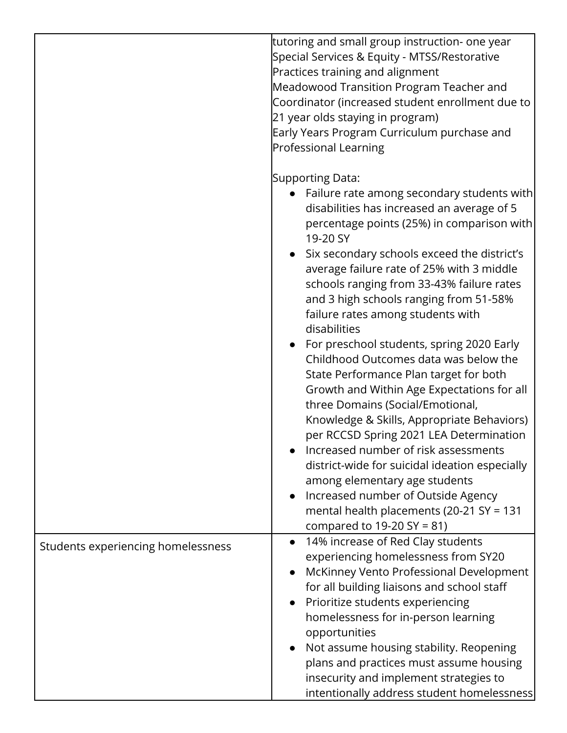|                                    | tutoring and small group instruction- one year<br>Special Services & Equity - MTSS/Restorative<br>Practices training and alignment<br>Meadowood Transition Program Teacher and<br>Coordinator (increased student enrollment due to<br>21 year olds staying in program)<br>Early Years Program Curriculum purchase and<br>Professional Learning                                                                                                                                                                                                                                                                                                                                                                                                                                                                                                                                                                                                                                                 |
|------------------------------------|------------------------------------------------------------------------------------------------------------------------------------------------------------------------------------------------------------------------------------------------------------------------------------------------------------------------------------------------------------------------------------------------------------------------------------------------------------------------------------------------------------------------------------------------------------------------------------------------------------------------------------------------------------------------------------------------------------------------------------------------------------------------------------------------------------------------------------------------------------------------------------------------------------------------------------------------------------------------------------------------|
|                                    | Supporting Data:<br>• Failure rate among secondary students with<br>disabilities has increased an average of 5<br>percentage points (25%) in comparison with<br>19-20 SY<br>Six secondary schools exceed the district's<br>average failure rate of 25% with 3 middle<br>schools ranging from 33-43% failure rates<br>and 3 high schools ranging from 51-58%<br>failure rates among students with<br>disabilities<br>For preschool students, spring 2020 Early<br>Childhood Outcomes data was below the<br>State Performance Plan target for both<br>Growth and Within Age Expectations for all<br>three Domains (Social/Emotional,<br>Knowledge & Skills, Appropriate Behaviors)<br>per RCCSD Spring 2021 LEA Determination<br>Increased number of risk assessments<br>district-wide for suicidal ideation especially<br>among elementary age students<br>Increased number of Outside Agency<br>$\bullet$<br>mental health placements (20-21 SY = 131<br>compared to $19-20 \text{ SY} = 81$ ) |
| Students experiencing homelessness | 14% increase of Red Clay students<br>$\bullet$<br>experiencing homelessness from SY20<br>McKinney Vento Professional Development<br>for all building liaisons and school staff<br>Prioritize students experiencing<br>$\bullet$<br>homelessness for in-person learning<br>opportunities<br>Not assume housing stability. Reopening<br>$\bullet$<br>plans and practices must assume housing<br>insecurity and implement strategies to<br>intentionally address student homelessness                                                                                                                                                                                                                                                                                                                                                                                                                                                                                                             |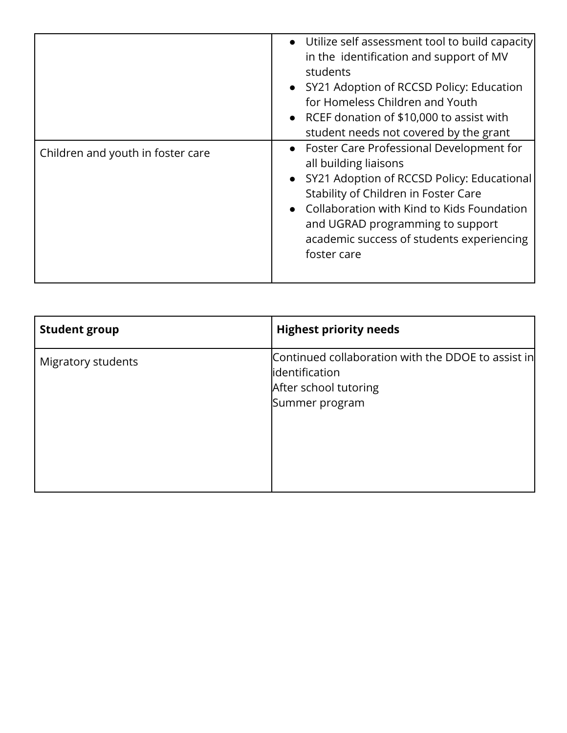|                                   | • Utilize self assessment tool to build capacity<br>in the identification and support of MV<br>students<br>• SY21 Adoption of RCCSD Policy: Education<br>for Homeless Children and Youth<br>• RCEF donation of \$10,000 to assist with<br>student needs not covered by the grant                            |
|-----------------------------------|-------------------------------------------------------------------------------------------------------------------------------------------------------------------------------------------------------------------------------------------------------------------------------------------------------------|
| Children and youth in foster care | • Foster Care Professional Development for<br>all building liaisons<br>• SY21 Adoption of RCCSD Policy: Educational<br>Stability of Children in Foster Care<br>• Collaboration with Kind to Kids Foundation<br>and UGRAD programming to support<br>academic success of students experiencing<br>foster care |

| <b>Student group</b> | <b>Highest priority needs</b>                                                                                    |
|----------------------|------------------------------------------------------------------------------------------------------------------|
| Migratory students   | Continued collaboration with the DDOE to assist in<br>lidentification<br>After school tutoring<br>Summer program |